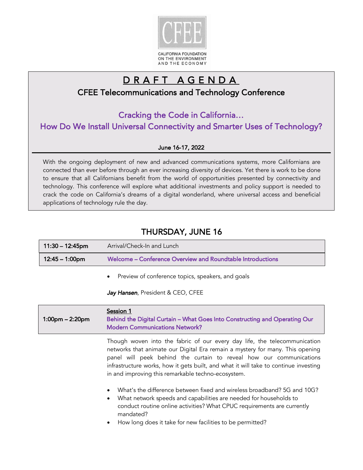

# DRAFT AGENDA

### CFEE Telecommunications and Technology Conference

### Cracking the Code in California…

How Do We Install Universal Connectivity and Smarter Uses of Technology?

#### June 16-17, 2022

 With the ongoing deployment of new and advanced communications systems, more Californians are connected than ever before through an ever increasing diversity of devices. Yet there is work to be done to ensure that all Californians benefit from the world of opportunities presented by connectivity and technology. This conference will explore what additional investments and policy support is needed to crack the code on California's dreams of a digital wonderland, where universal access and beneficial applications of technology rule the day.

### THURSDAY, JUNE 16

| 11:30 – 12:45pm | Arrival/Check-In and Lunch                                 |
|-----------------|------------------------------------------------------------|
| 12:45 – 1:00pm  | Welcome – Conference Overview and Roundtable Introductions |

Preview of conference topics, speakers, and goals

*Jay Hansen*, President & CEO, CFEE

1:00pm - 2:20pm Behind the Digital Curtain - What Goes Into Constructing and Operating Our Though woven into the fabric of our every day life, the telecommunication Session 1 Modern Communications Network? ٦

networks that animate our Digital Era remain a mystery for many. This opening panel will peek behind the curtain to reveal how our communications infrastructure works, how it gets built, and what it will take to continue investing in and improving this remarkable techno-ecosystem.

- What's the difference between fixed and wireless broadband? 5G and 10G?
- What network speeds and capabilities are needed for households to conduct routine online activities? What CPUC requirements are currently mandated?
- How long does it take for new facilities to be permitted?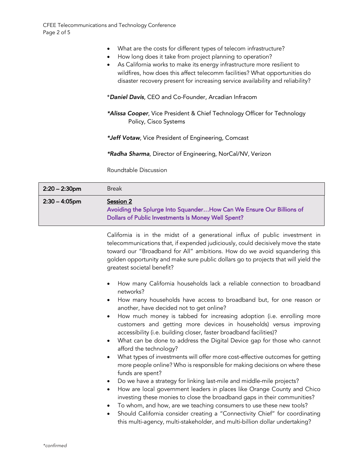- What are the costs for different types of telecom infrastructure?
- How long does it take from project planning to operation?
- As California works to make its energy infrastructure more resilient to wildfires, how does this affect telecomm facilities? What opportunities do disaster recovery present for increasing service availability and reliability?
- \**Daniel Davis*, CEO and Co-Founder, Arcadian Infracom
- *\*Alissa Cooper*, Vice President & Chief Technology Officer for Technology Policy, Cisco Systems

*\*Jeff Votaw*, Vice President of Engineering, Comcast

*\*Radha Sharma*, Director of Engineering, NorCal/NV, Verizon

Roundtable Discussion

| $2:30 - 4:05$ pm<br>Session 2<br>Avoiding the Splurge Into SquanderHow Can We Ensure Our Billions of<br>Dollars of Public Investments Is Money Well Spent? | $2:20 - 2:30$ pm | <b>Break</b> |
|------------------------------------------------------------------------------------------------------------------------------------------------------------|------------------|--------------|
|                                                                                                                                                            |                  |              |

California is in the midst of a generational influx of public investment in telecommunications that, if expended judiciously, could decisively move the state toward our "Broadband for All" ambitions. How do we avoid squandering this golden opportunity and make sure public dollars go to projects that will yield the greatest societal benefit?

- How many California households lack a reliable connection to broadband networks?
- How many households have access to broadband but, for one reason or another, have decided not to get online?
- How much money is tabbed for increasing adoption (i.e. enrolling more customers and getting more devices in households) versus improving accessibility (i.e. building closer, faster broadband facilities)?
- What can be done to address the Digital Device gap for those who cannot afford the technology?
- What types of investments will offer more cost-effective outcomes for getting more people online? Who is responsible for making decisions on where these funds are spent?
- Do we have a strategy for linking last-mile and middle-mile projects?
- How are local government leaders in places like Orange County and Chico investing these monies to close the broadband gaps in their communities?
- To whom, and how, are we teaching consumers to use these new tools?
- Should California consider creating a "Connectivity Chief" for coordinating this multi-agency, multi-stakeholder, and multi-billion dollar undertaking?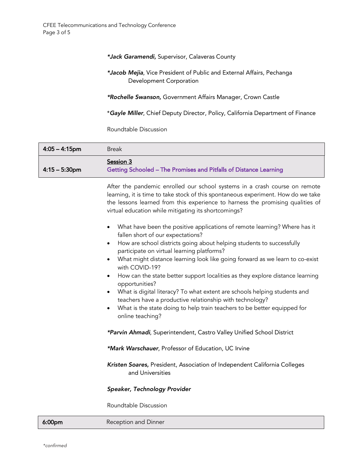#### *\*Jack Garamendi,* Supervisor, Calaveras County

#### *\*Jacob Mejia*, Vice President of Public and External Affairs, Pechanga Development Corporation

*\*Rochelle Swanson,* Government Affairs Manager, Crown Castle

\**Gayle Miller*, Chief Deputy Director, Policy, California Department of Finance

Roundtable Discussion

| $4:05 - 4:15$ pm | <b>Break</b>                                                                                                                                                                                                                                                                                                                                                                                                                                                                                                                                                                                                                                                                                                                                                      |
|------------------|-------------------------------------------------------------------------------------------------------------------------------------------------------------------------------------------------------------------------------------------------------------------------------------------------------------------------------------------------------------------------------------------------------------------------------------------------------------------------------------------------------------------------------------------------------------------------------------------------------------------------------------------------------------------------------------------------------------------------------------------------------------------|
| $4:15 - 5:30$ pm | Session 3<br>Getting Schooled - The Promises and Pitfalls of Distance Learning                                                                                                                                                                                                                                                                                                                                                                                                                                                                                                                                                                                                                                                                                    |
|                  | After the pandemic enrolled our school systems in a crash course on remote<br>learning, it is time to take stock of this spontaneous experiment. How do we take<br>the lessons learned from this experience to harness the promising qualities of<br>virtual education while mitigating its shortcomings?                                                                                                                                                                                                                                                                                                                                                                                                                                                         |
|                  | What have been the positive applications of remote learning? Where has it<br>$\bullet$<br>fallen short of our expectations?<br>How are school districts going about helping students to successfully<br>$\bullet$<br>participate on virtual learning platforms?<br>What might distance learning look like going forward as we learn to co-exist<br>$\bullet$<br>with COVID-19?<br>How can the state better support localities as they explore distance learning<br>$\bullet$<br>opportunities?<br>What is digital literacy? To what extent are schools helping students and<br>$\bullet$<br>teachers have a productive relationship with technology?<br>What is the state doing to help train teachers to be better equipped for<br>$\bullet$<br>online teaching? |
|                  | *Parvin Ahmadi, Superintendent, Castro Valley Unified School District                                                                                                                                                                                                                                                                                                                                                                                                                                                                                                                                                                                                                                                                                             |
|                  | *Mark Warschauer, Professor of Education, UC Irvine                                                                                                                                                                                                                                                                                                                                                                                                                                                                                                                                                                                                                                                                                                               |
|                  | Kristen Soares, President, Association of Independent California Colleges<br>and Universities                                                                                                                                                                                                                                                                                                                                                                                                                                                                                                                                                                                                                                                                     |
|                  | Speaker, Technology Provider                                                                                                                                                                                                                                                                                                                                                                                                                                                                                                                                                                                                                                                                                                                                      |
|                  | Roundtable Discussion                                                                                                                                                                                                                                                                                                                                                                                                                                                                                                                                                                                                                                                                                                                                             |

**6:00pm** Reception and Dinner

15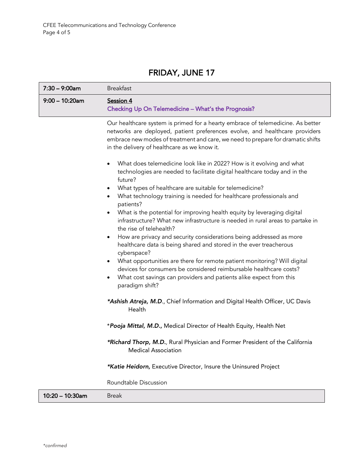## FRIDAY, JUNE 17

| $7:30 - 9:00$ am  | <b>Breakfast</b>                                                                                                                                                                                                                                                                                  |
|-------------------|---------------------------------------------------------------------------------------------------------------------------------------------------------------------------------------------------------------------------------------------------------------------------------------------------|
| $9:00 - 10:20$ am | Session 4<br>Checking Up On Telemedicine - What's the Prognosis?                                                                                                                                                                                                                                  |
|                   | Our healthcare system is primed for a hearty embrace of telemedicine. As better<br>networks are deployed, patient preferences evolve, and healthcare providers<br>embrace new modes of treatment and care, we need to prepare for dramatic shifts<br>in the delivery of healthcare as we know it. |
|                   | What does telemedicine look like in 2022? How is it evolving and what<br>$\bullet$<br>technologies are needed to facilitate digital healthcare today and in the<br>future?                                                                                                                        |
|                   | What types of healthcare are suitable for telemedicine?<br>What technology training is needed for healthcare professionals and<br>$\bullet$<br>patients?                                                                                                                                          |
|                   | What is the potential for improving health equity by leveraging digital<br>infrastructure? What new infrastructure is needed in rural areas to partake in<br>the rise of telehealth?                                                                                                              |
|                   | How are privacy and security considerations being addressed as more<br>$\bullet$<br>healthcare data is being shared and stored in the ever treacherous<br>cyberspace?                                                                                                                             |
|                   | What opportunities are there for remote patient monitoring? Will digital<br>$\bullet$<br>devices for consumers be considered reimbursable healthcare costs?<br>What cost savings can providers and patients alike expect from this<br>paradigm shift?                                             |
|                   | *Ashish Atreja, M.D., Chief Information and Digital Health Officer, UC Davis<br>Health                                                                                                                                                                                                            |
|                   | *Pooja Mittal, M.D., Medical Director of Health Equity, Health Net                                                                                                                                                                                                                                |
|                   | *Richard Thorp, M.D., Rural Physician and Former President of the California<br><b>Medical Association</b>                                                                                                                                                                                        |
|                   | *Katie Heidorn, Executive Director, Insure the Uninsured Project                                                                                                                                                                                                                                  |
|                   | Roundtable Discussion                                                                                                                                                                                                                                                                             |
| 10:20 - 10:30am   | <b>Break</b>                                                                                                                                                                                                                                                                                      |

15